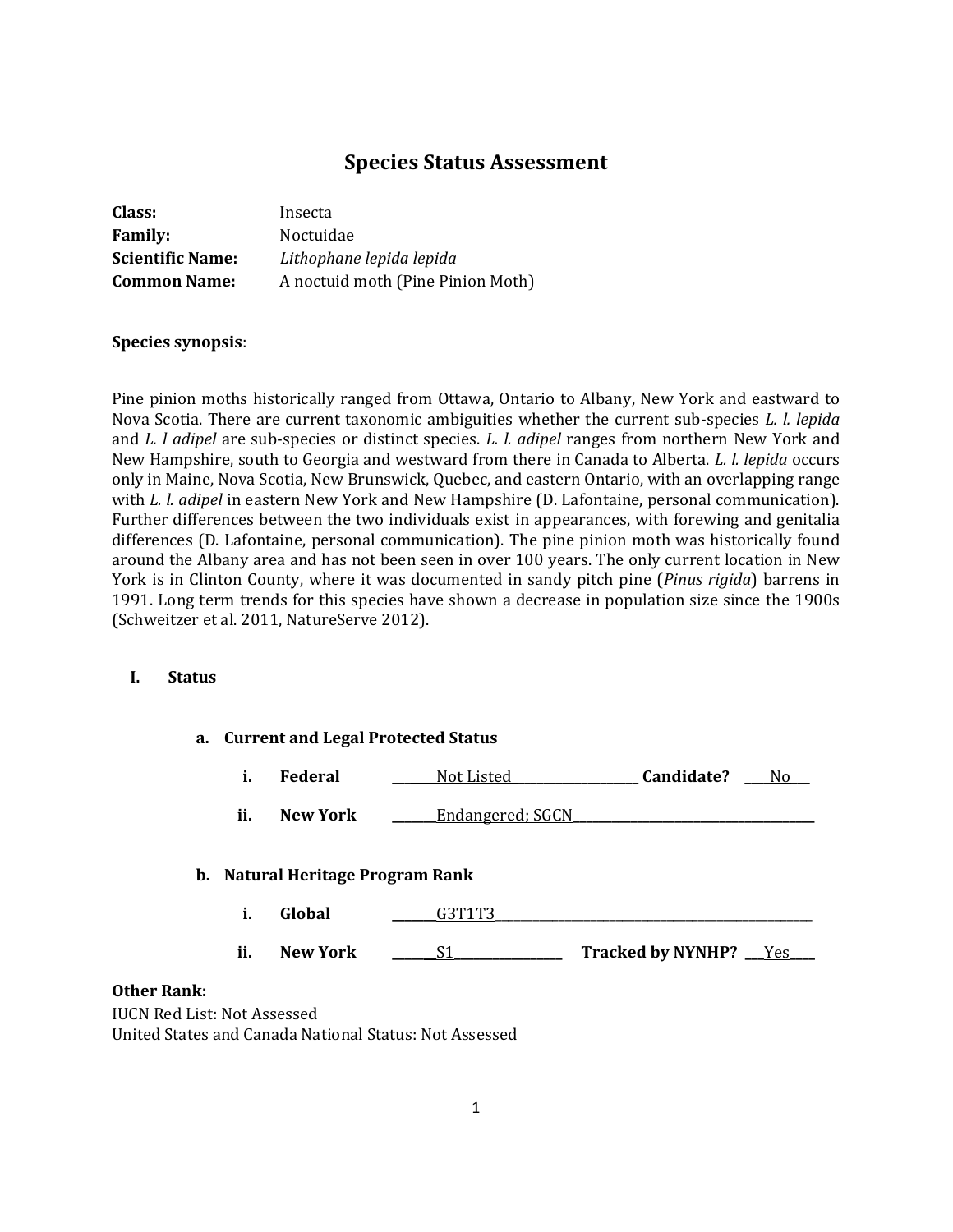# **Species Status Assessment**

| Class:                  | Insecta                           |
|-------------------------|-----------------------------------|
| <b>Family:</b>          | Noctuidae                         |
| <b>Scientific Name:</b> | Lithophane lepida lepida          |
| <b>Common Name:</b>     | A noctuid moth (Pine Pinion Moth) |

## **Species synopsis**:

Pine pinion moths historically ranged from Ottawa, Ontario to Albany, New York and eastward to Nova Scotia. There are current taxonomic ambiguities whether the current sub-species *L. l. lepida* and *L. l adipel* are sub-species or distinct species. *L. l. adipel* ranges from northern New York and New Hampshire, south to Georgia and westward from there in Canada to Alberta. *L. l. lepida* occurs only in Maine, Nova Scotia, New Brunswick, Quebec, and eastern Ontario, with an overlapping range with *L. l. adipel* in eastern New York and New Hampshire (D. Lafontaine, personal communication). Further differences between the two individuals exist in appearances, with forewing and genitalia differences (D. Lafontaine, personal communication). The pine pinion moth was historically found around the Albany area and has not been seen in over 100 years. The only current location in New York is in Clinton County, where it was documented in sandy pitch pine (*Pinus rigida*) barrens in 1991. Long term trends for this species have shown a decrease in population size since the 1900s (Schweitzer et al. 2011, NatureServe 2012).

### **I. Status**

|      |     |                                  | a. Current and Legal Protected Status |                          |     |
|------|-----|----------------------------------|---------------------------------------|--------------------------|-----|
|      | i.  | <b>Federal</b>                   | Not Listed                            | Candidate?               | No. |
|      | ii. | New York                         | Endangered; SGCN                      |                          |     |
|      |     | b. Natural Heritage Program Rank |                                       |                          |     |
|      | i.  | Global                           | G3T1T3                                |                          |     |
|      | ii. | <b>New York</b>                  | S1                                    | Tracked by NYNHP? __Yes_ |     |
| ınk: |     |                                  |                                       |                          |     |

# **Other Ra**

IUCN Red List: Not Assessed United States and Canada National Status: Not Assessed

**a. Current and Legal Protected Status**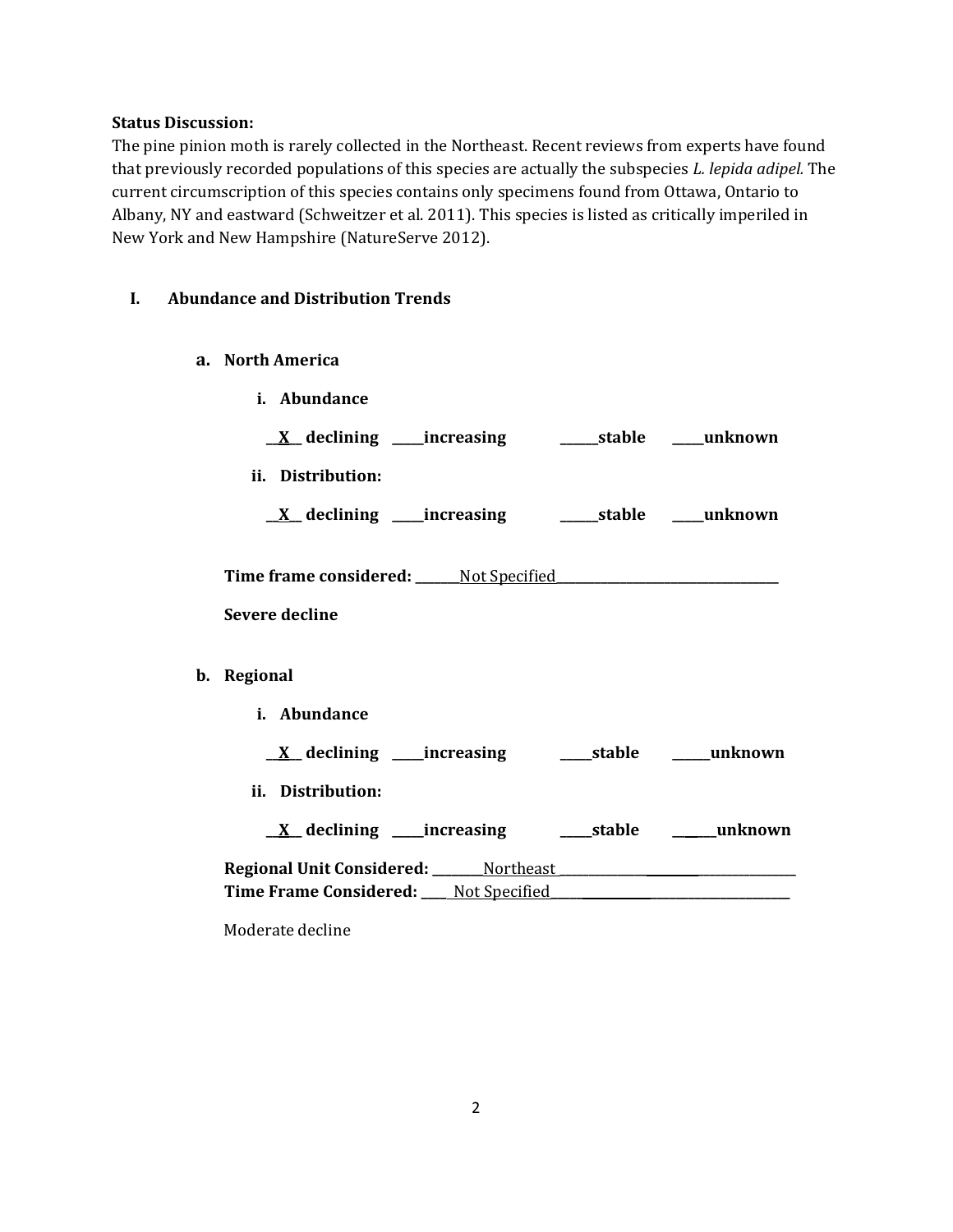### **Status Discussion:**

The pine pinion moth is rarely collected in the Northeast. Recent reviews from experts have found that previously recorded populations of this species are actually the subspecies *L. lepida adipel.* The current circumscription of this species contains only specimens found from Ottawa, Ontario to Albany, NY and eastward (Schweitzer et al. 2011). This species is listed as critically imperiled in New York and New Hampshire (NatureServe 2012).

## **I. Abundance and Distribution Trends**

- **a. North America**
- **i. Abundance \_\_X\_\_ declining \_\_\_\_\_increasing \_\_\_\_\_\_stable \_\_\_\_\_unknown ii. Distribution: \_\_X\_\_ declining \_\_\_\_\_increasing \_\_\_\_\_\_stable \_\_\_\_\_unknown Time frame considered: \_\_\_\_\_\_\_**Not Specified**\_\_\_\_\_\_\_\_\_\_\_\_\_\_\_\_\_\_\_\_\_\_\_\_\_\_\_\_\_\_\_\_\_\_\_ Severe decline b. Regional i. Abundance \_\_X\_\_ declining \_\_\_\_\_increasing \_\_\_\_\_stable \_\_\_\_\_\_unknown ii. Distribution: \_\_X\_\_ declining \_\_\_\_\_increasing \_\_\_\_\_stable \_\_\_\_\_\_\_unknown Regional Unit Considered: \_\_\_\_\_\_\_\_**Northeast **\_\_\_\_\_\_\_\_\_\_\_\_\_\_\_ \_\_\_\_\_\_\_\_\_\_\_\_\_\_\_\_\_ Time Frame Considered: \_\_\_\_** Not Specified**\_\_\_\_\_ \_\_\_\_\_\_\_\_\_\_\_\_\_\_\_\_\_\_\_\_\_\_**

Moderate decline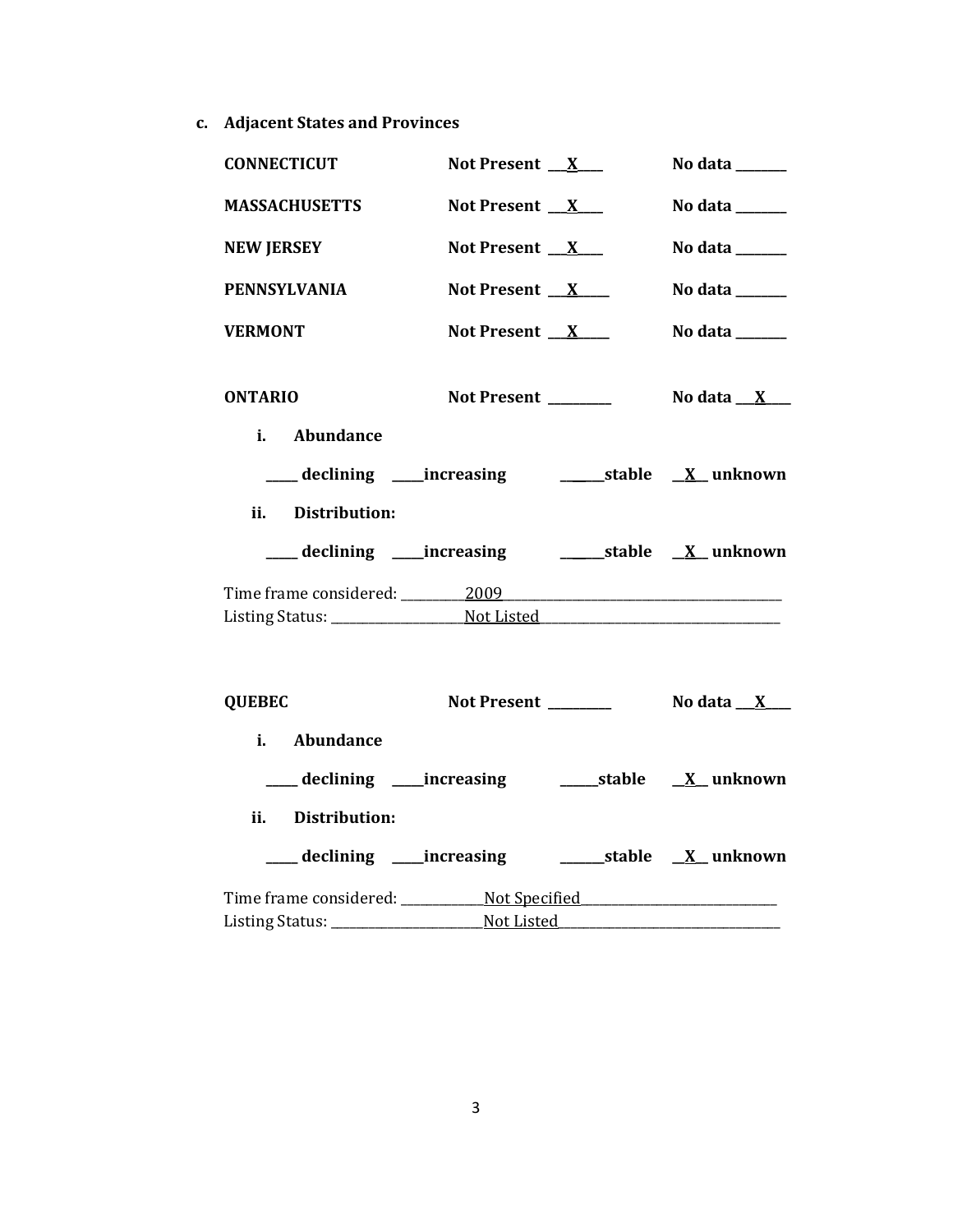**c. Adjacent States and Provinces**

| <b>CONNECTICUT</b>                                                               | Not Present $X_{-}$  | No data $\_\_\_\_\_\_\_\_\_\_\_\_$ |
|----------------------------------------------------------------------------------|----------------------|------------------------------------|
| <b>MASSACHUSETTS</b>                                                             | Not Present $X_{-}$  | No data $\_\_\_\_\_\_\_\_\_\_\$    |
| <b>NEW JERSEY</b>                                                                | Not Present $X$      | No data ______                     |
| <b>PENNSYLVANIA</b>                                                              | Not Present $X$      | No data ______                     |
| <b>VERMONT</b>                                                                   | Not Present $X$      | No data _____                      |
| <b>ONTARIO</b>                                                                   | Not Present _______  | No data __X___                     |
| i. Abundance                                                                     |                      |                                    |
| ii. Distribution:                                                                |                      |                                    |
| Time frame considered: 2009 2009                                                 |                      |                                    |
|                                                                                  |                      |                                    |
| <b>QUEBEC</b>                                                                    | Not Present ________ | No data $\mathbf{X}$ $\mathbf{X}$  |
| i. Abundance                                                                     |                      |                                    |
|                                                                                  |                      |                                    |
| ii. Distribution:                                                                |                      |                                    |
|                                                                                  |                      |                                    |
| Time frame considered: _______________Not Specified ____________________________ |                      |                                    |
|                                                                                  |                      |                                    |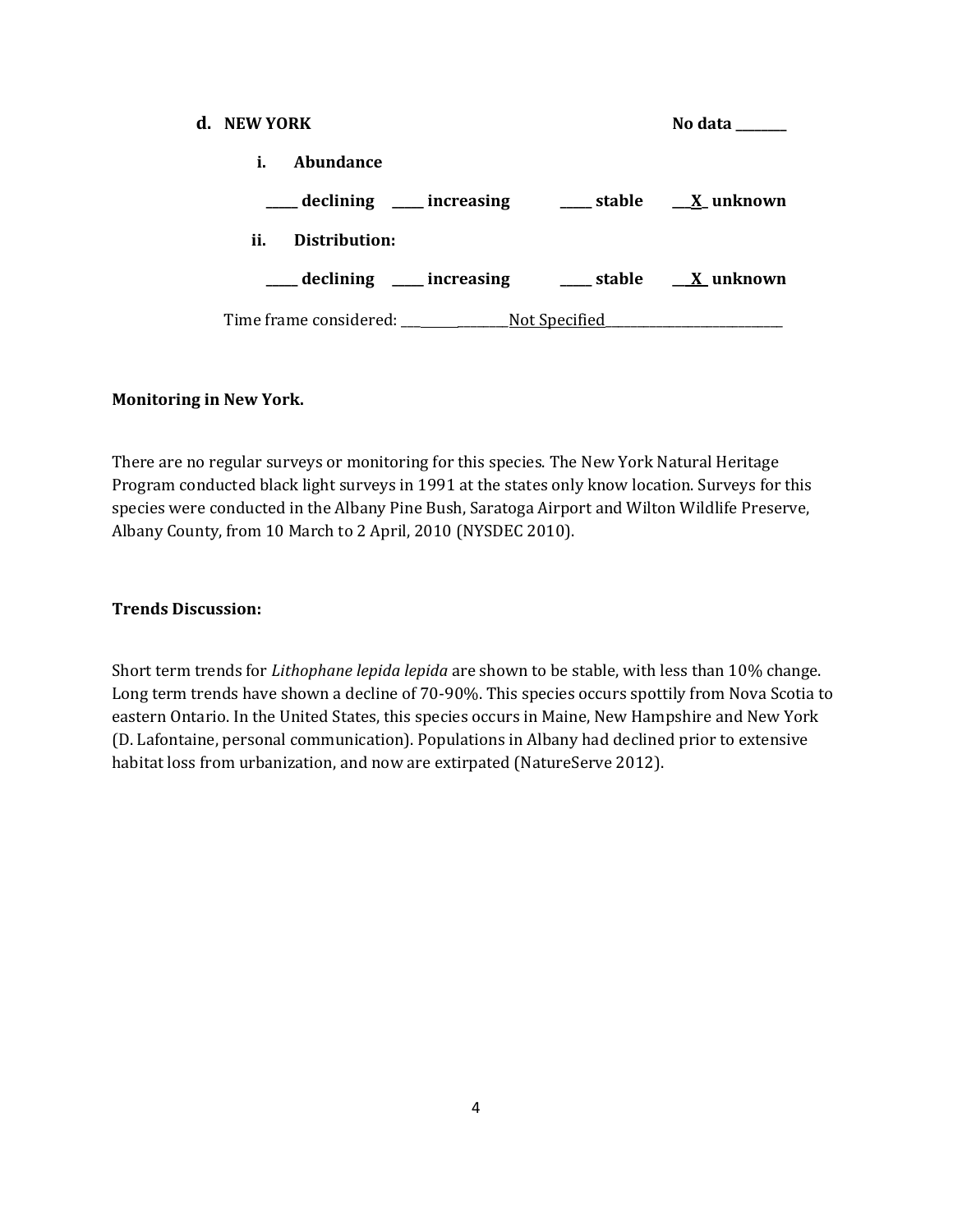| d. NEW YORK |               |                                                                                                         | No data |
|-------------|---------------|---------------------------------------------------------------------------------------------------------|---------|
| i.          | Abundance     |                                                                                                         |         |
|             |               | $\frac{1}{\sqrt{1-x^2}}$ declining $\frac{1}{\sqrt{1-x^2}}$ increasing $\frac{1}{\sqrt{1-x^2}}$ unknown |         |
| ii.         | Distribution: |                                                                                                         |         |
|             |               | declining ____ increasing _____ stable __ <u>_X</u> unknown                                             |         |
|             |               |                                                                                                         |         |

## **Monitoring in New York.**

There are no regular surveys or monitoring for this species. The New York Natural Heritage Program conducted black light surveys in 1991 at the states only know location. Surveys for this species were conducted in the Albany Pine Bush, Saratoga Airport and Wilton Wildlife Preserve, Albany County, from 10 March to 2 April, 2010 (NYSDEC 2010).

### **Trends Discussion:**

Short term trends for *Lithophane lepida lepida* are shown to be stable, with less than 10% change. Long term trends have shown a decline of 70-90%. This species occurs spottily from Nova Scotia to eastern Ontario. In the United States, this species occurs in Maine, New Hampshire and New York (D. Lafontaine, personal communication). Populations in Albany had declined prior to extensive habitat loss from urbanization, and now are extirpated (NatureServe 2012).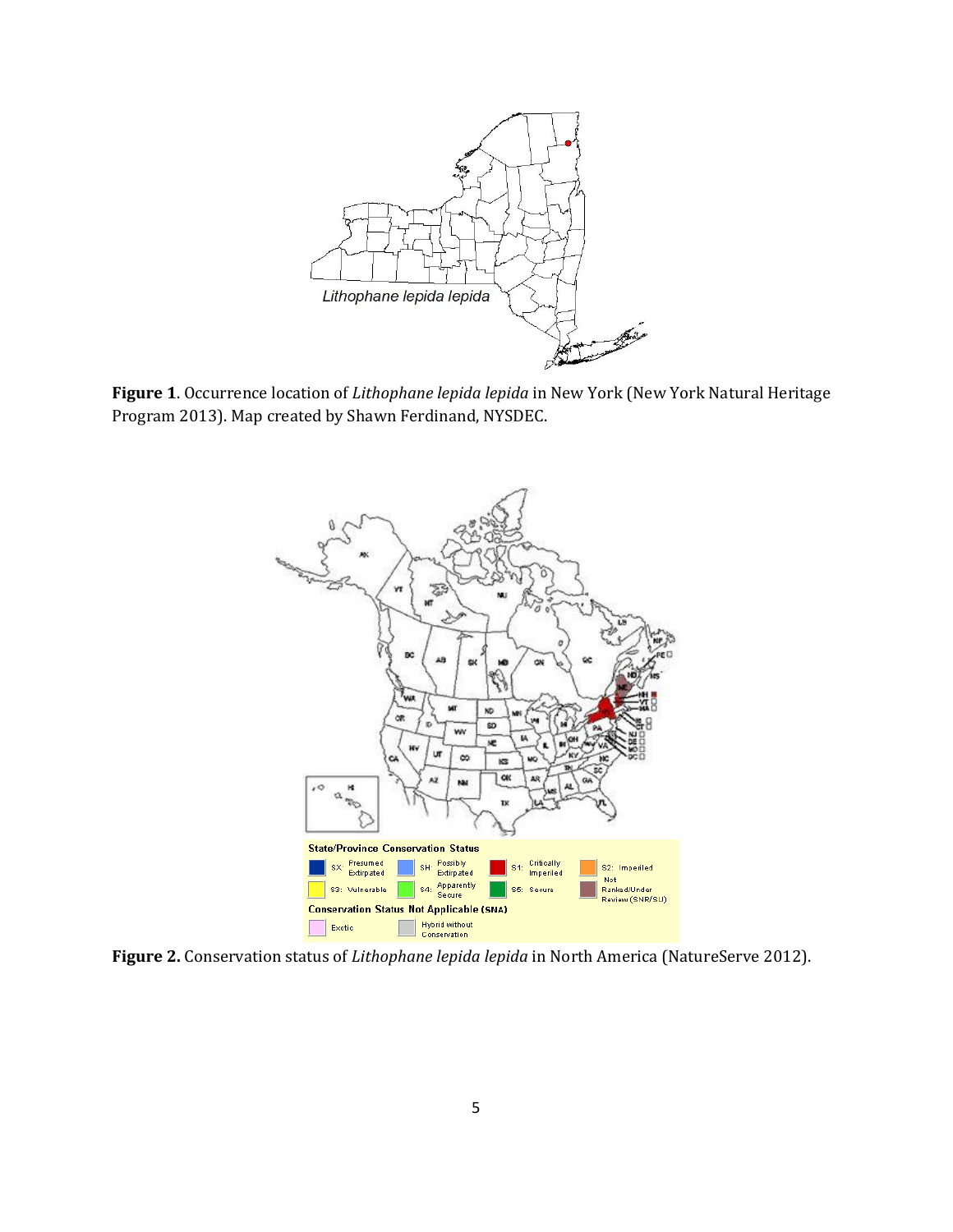

**Figure 1**. Occurrence location of *Lithophane lepida lepida* in New York (New York Natural Heritage Program 2013). Map created by Shawn Ferdinand, NYSDEC.



**Figure 2.** Conservation status of *Lithophane lepida lepida* in North America (NatureServe 2012).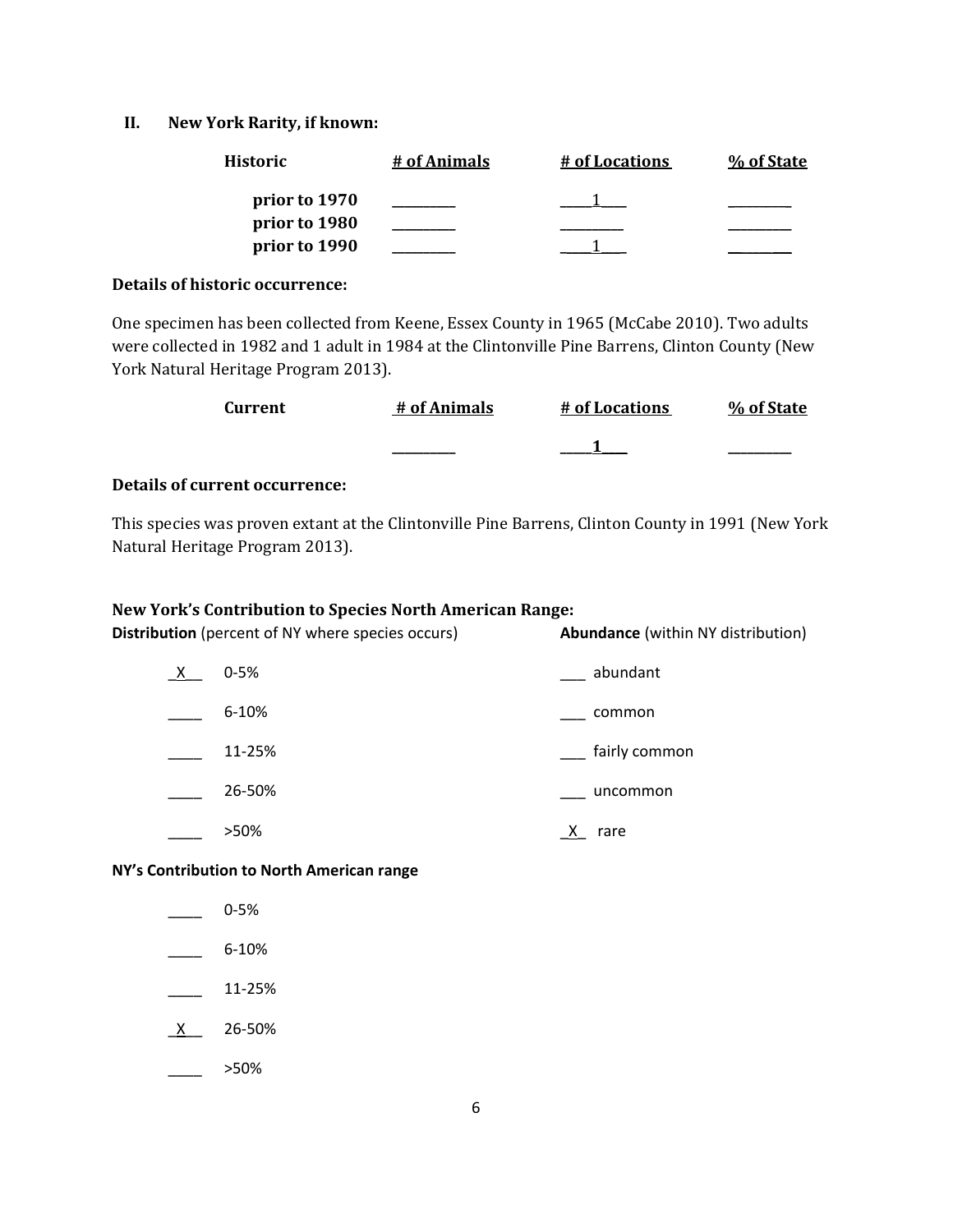### **II. New York Rarity, if known:**

| <b>Historic</b> | # of Animals | # of Locations | % of State |
|-----------------|--------------|----------------|------------|
| prior to 1970   |              |                |            |
| prior to 1980   |              |                |            |
| prior to 1990   |              |                |            |

#### **Details of historic occurrence:**

One specimen has been collected from Keene, Essex County in 1965 (McCabe 2010). Two adults were collected in 1982 and 1 adult in 1984 at the Clintonville Pine Barrens, Clinton County (New York Natural Heritage Program 2013).

| Current | # of Animals | # of Locations | % of State |
|---------|--------------|----------------|------------|
|         | _________    |                | _________  |

#### **Details of current occurrence:**

This species was proven extant at the Clintonville Pine Barrens, Clinton County in 1991 (New York Natural Heritage Program 2013).

### **New York's Contribution to Species North American Range:**

**Distribution** (percent of NY where species occurs) **Abundance** (within NY distribution)

| X | $0 - 5%$  | abundant      |
|---|-----------|---------------|
|   | $6 - 10%$ | common        |
|   | 11-25%    | fairly common |
|   | 26-50%    | uncommon      |
|   | >50%      | rare          |

#### **NY's Contribution to North American range**

- $-$  0-5%
- $-$  6-10%
- $\frac{11-25\%}{2}$
- $X$  26-50%
- $\frac{\ }{\ }$  >50%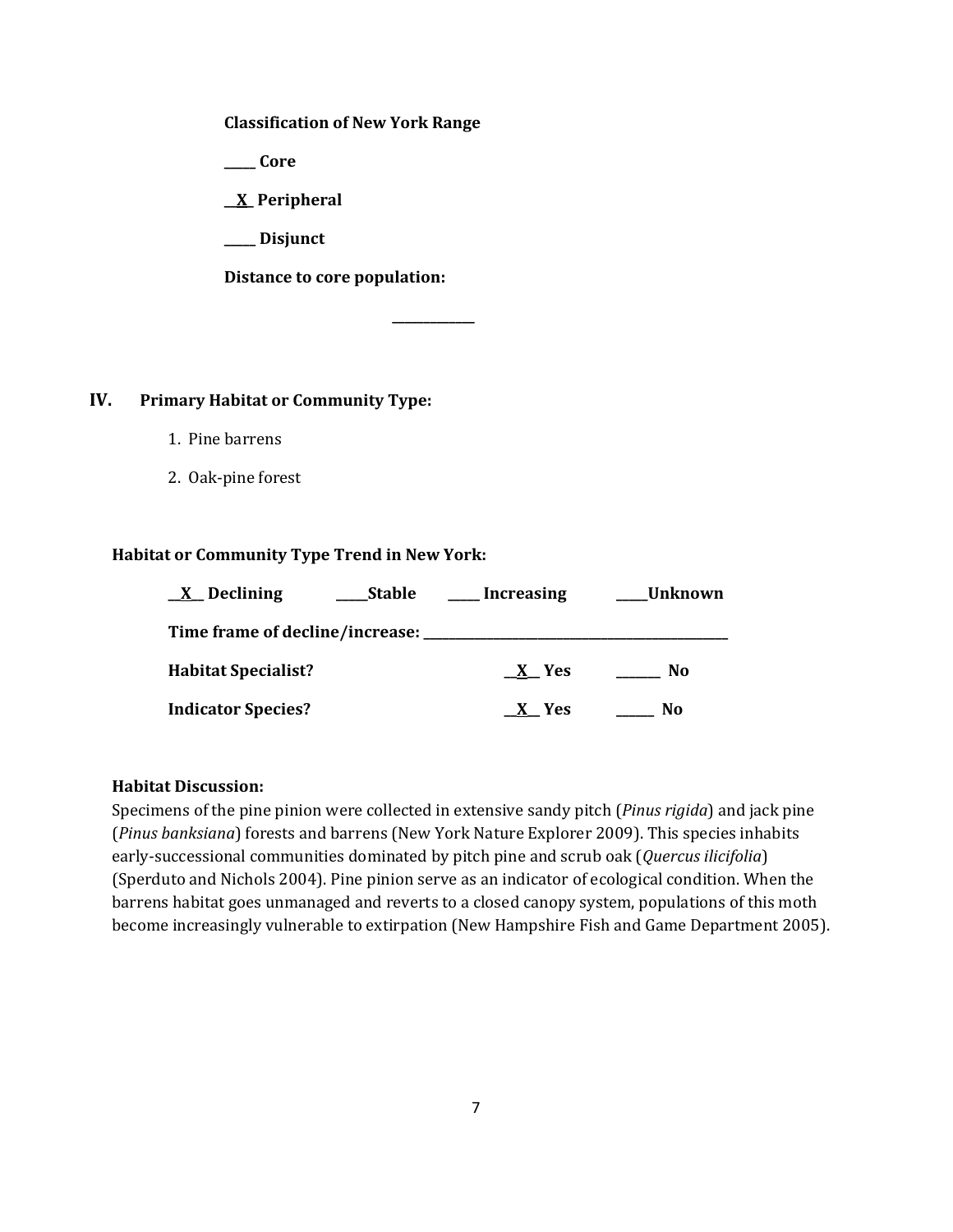### **Classification of New York Range**

**\_\_\_\_\_ Core**

**\_\_X\_ Peripheral**

**\_\_\_\_\_ Disjunct**

**Distance to core population:**

## **IV. Primary Habitat or Community Type:**

- 1. Pine barrens
- 2. Oak-pine forest

### **Habitat or Community Type Trend in New York:**

| $X$ Declining<br>Stable                | <b>Example 1</b> Increasing | Unknown |
|----------------------------------------|-----------------------------|---------|
| Time frame of decline/increase: ______ |                             |         |
| <b>Habitat Specialist?</b>             | X Yes                       | No      |
| <b>Indicator Species?</b>              | X Yes                       | No      |

**\_\_\_\_\_\_\_\_\_\_\_\_\_**

## **Habitat Discussion:**

Specimens of the pine pinion were collected in extensive sandy pitch (*Pinus rigida*) and jack pine (*Pinus banksiana*) forests and barrens (New York Nature Explorer 2009). This species inhabits early-successional communities dominated by pitch pine and scrub oak (*Quercus ilicifolia*) (Sperduto and Nichols 2004). Pine pinion serve as an indicator of ecological condition. When the barrens habitat goes unmanaged and reverts to a closed canopy system, populations of this moth become increasingly vulnerable to extirpation (New Hampshire Fish and Game Department 2005).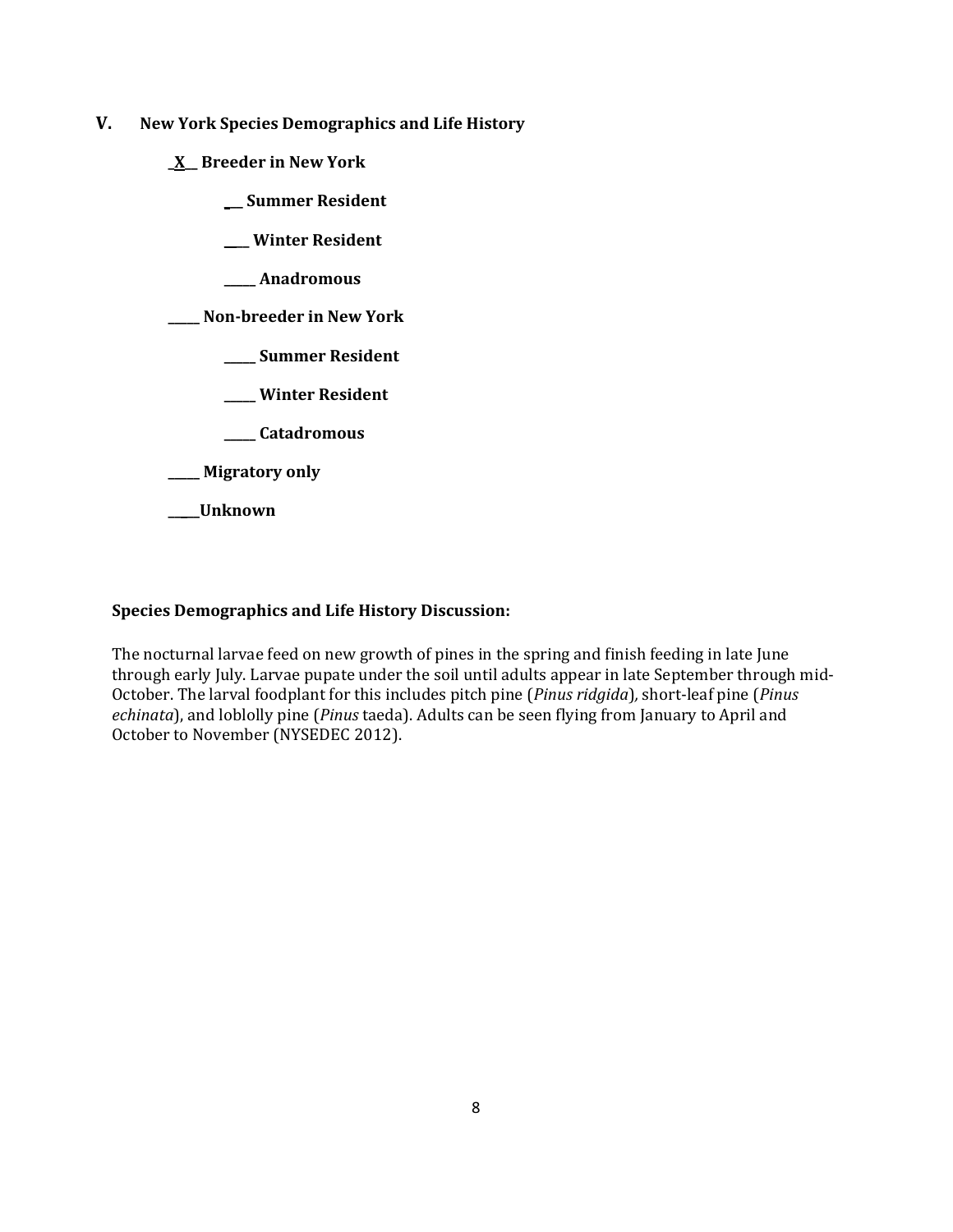- **V. New York Species Demographics and Life History**
	- **\_X\_\_ Breeder in New York**
		- **\_\_\_ Summer Resident**
		- **\_\_\_\_ Winter Resident**
		- **\_\_\_\_\_ Anadromous**
	- **\_\_\_\_\_ Non-breeder in New York**
		- **\_\_\_\_\_ Summer Resident**
		- **\_\_\_\_\_ Winter Resident**
		- **\_\_\_\_\_ Catadromous**
	- **\_\_\_\_\_ Migratory only**
	- **\_\_\_\_\_Unknown**

## **Species Demographics and Life History Discussion:**

The nocturnal larvae feed on new growth of pines in the spring and finish feeding in late June through early July. Larvae pupate under the soil until adults appear in late September through mid-October. The larval foodplant for this includes pitch pine (*Pinus ridgida*)*,* short-leaf pine (*Pinus echinata*), and loblolly pine (*Pinus* taeda). Adults can be seen flying from January to April and October to November (NYSEDEC 2012).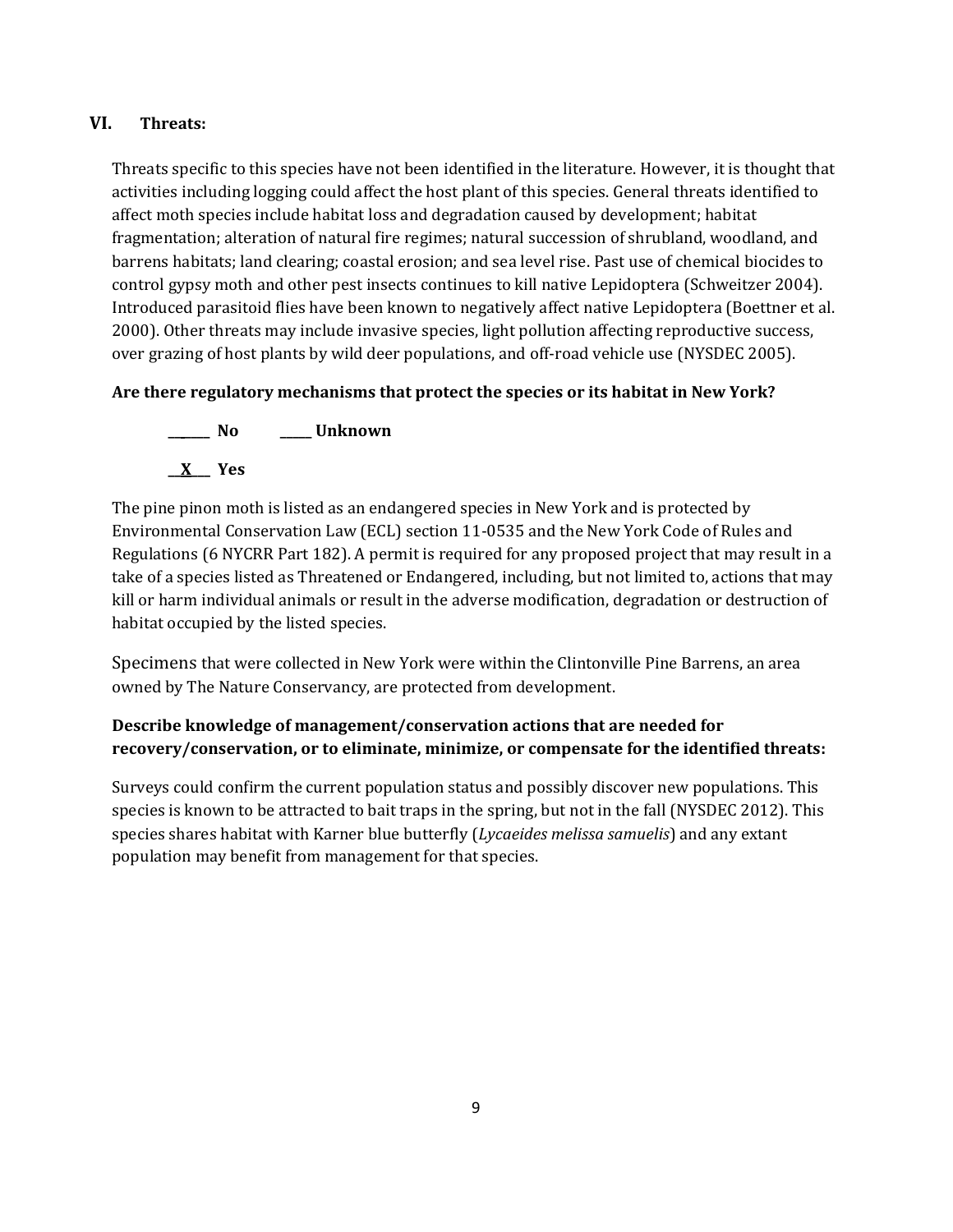# **VI. Threats:**

Threats specific to this species have not been identified in the literature. However, it is thought that activities including logging could affect the host plant of this species. General threats identified to affect moth species include habitat loss and degradation caused by development; habitat fragmentation; alteration of natural fire regimes; natural succession of shrubland, woodland, and barrens habitats; land clearing; coastal erosion; and sea level rise. Past use of chemical biocides to control gypsy moth and other pest insects continues to kill native Lepidoptera (Schweitzer 2004). Introduced parasitoid flies have been known to negatively affect native Lepidoptera (Boettner et al. 2000). Other threats may include invasive species, light pollution affecting reproductive success, over grazing of host plants by wild deer populations, and off-road vehicle use (NYSDEC 2005).

# **Are there regulatory mechanisms that protect the species or its habitat in New York?**



The pine pinon moth is listed as an endangered species in New York and is protected by Environmental Conservation Law (ECL) section 11-0535 and the New York Code of Rules and Regulations (6 NYCRR Part 182). A permit is required for any proposed project that may result in a take of a species listed as Threatened or Endangered, including, but not limited to, actions that may kill or harm individual animals or result in the adverse modification, degradation or destruction of habitat occupied by the listed species.

Specimens that were collected in New York were within the Clintonville Pine Barrens, an area owned by The Nature Conservancy, are protected from development.

# **Describe knowledge of management/conservation actions that are needed for recovery/conservation, or to eliminate, minimize, or compensate for the identified threats:**

Surveys could confirm the current population status and possibly discover new populations. This species is known to be attracted to bait traps in the spring, but not in the fall (NYSDEC 2012). This species shares habitat with Karner blue butterfly (*Lycaeides melissa samuelis*) and any extant population may benefit from management for that species.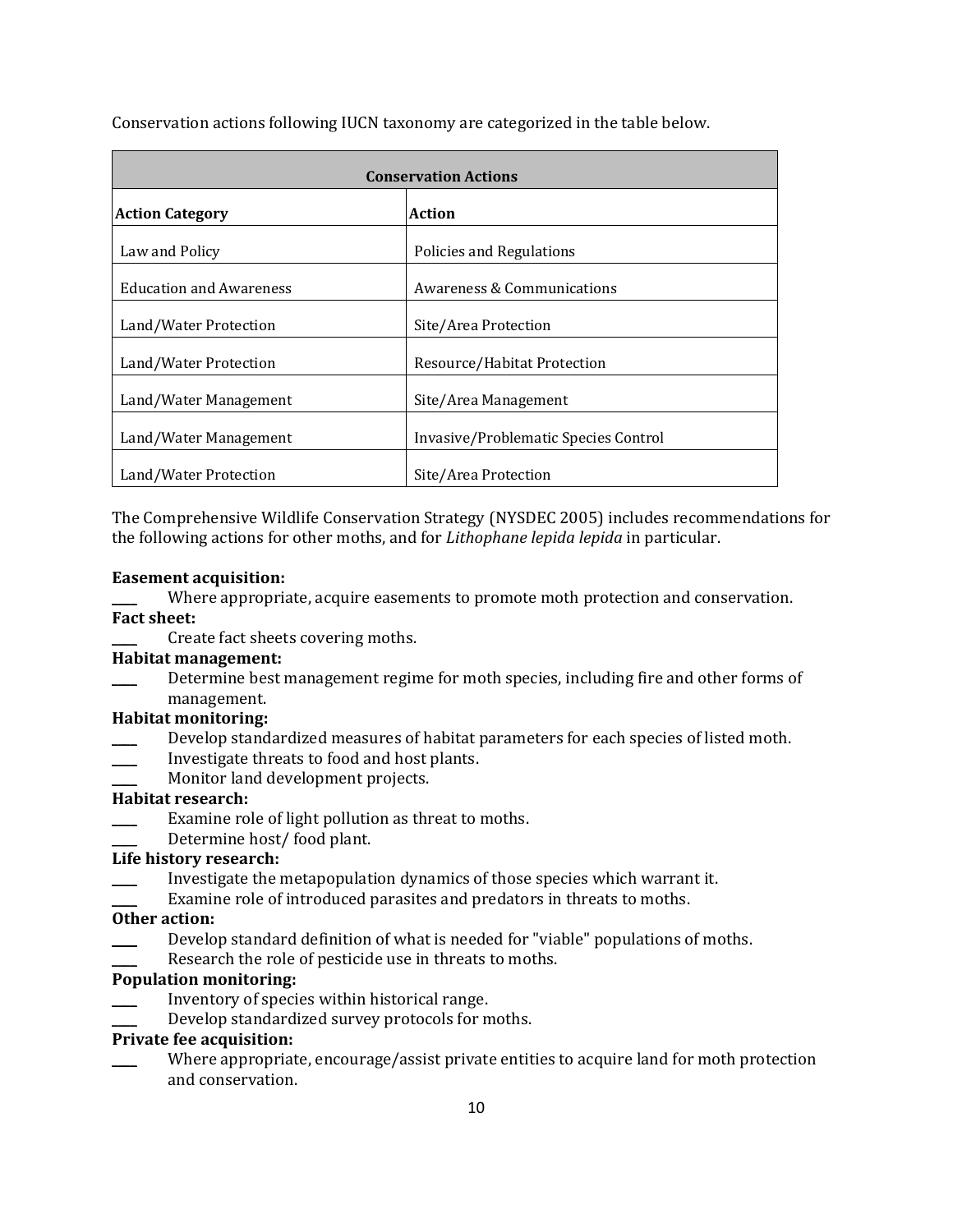|                                | <b>Conservation Actions</b>          |
|--------------------------------|--------------------------------------|
| <b>Action Category</b>         | Action                               |
| Law and Policy                 | Policies and Regulations             |
| <b>Education and Awareness</b> | Awareness & Communications           |
| Land/Water Protection          | Site/Area Protection                 |
| Land/Water Protection          | Resource/Habitat Protection          |
| Land/Water Management          | Site/Area Management                 |
| Land/Water Management          | Invasive/Problematic Species Control |
| Land/Water Protection          | Site/Area Protection                 |

Conservation actions following IUCN taxonomy are categorized in the table below.

The Comprehensive Wildlife Conservation Strategy (NYSDEC 2005) includes recommendations for the following actions for other moths, and for *Lithophane lepida lepida* in particular.

### **Easement acquisition:**

Where appropriate, acquire easements to promote moth protection and conservation.

### **Fact sheet:**

Create fact sheets covering moths.

## **Habitat management:**

Determine best management regime for moth species, including fire and other forms of management.

## **Habitat monitoring:**

- Develop standardized measures of habitat parameters for each species of listed moth.
- \_\_\_\_ Investigate threats to food and host plants.
- Monitor land development projects.

## **Habitat research:**

- Examine role of light pollution as threat to moths.
- Determine host/ food plant.

# **Life history research:**

- \_\_\_\_ Investigate the metapopulation dynamics of those species which warrant it.
- Examine role of introduced parasites and predators in threats to moths.

## **Other action:**

- Develop standard definition of what is needed for "viable" populations of moths.
- Research the role of pesticide use in threats to moths.

## **Population monitoring:**

- Inventory of species within historical range.
- Develop standardized survey protocols for moths.

## **Private fee acquisition:**

Where appropriate, encourage/assist private entities to acquire land for moth protection and conservation.